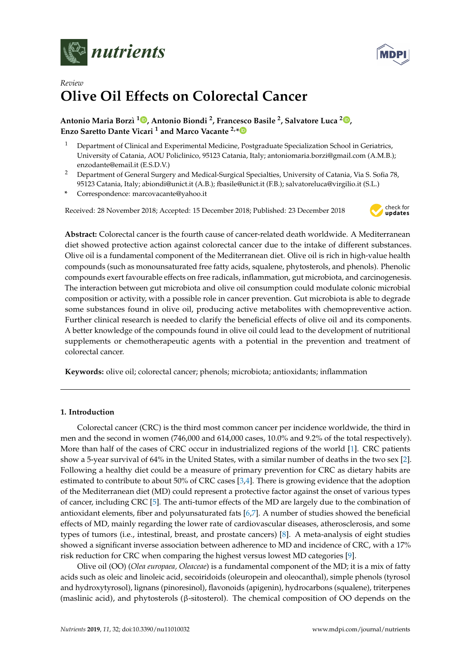



# *Review* **Olive Oil Effects on Colorectal Cancer**

# **Antonio Maria Borzì 1 , Antonio Biondi <sup>2</sup> , Francesco Basile <sup>2</sup> , Salvatore Luca <sup>2</sup> , Enzo Saretto Dante Vicari <sup>1</sup> and Marco Vacante 2,\***

- <sup>1</sup> Department of Clinical and Experimental Medicine, Postgraduate Specialization School in Geriatrics, University of Catania, AOU Policlinico, 95123 Catania, Italy; antoniomaria.borzi@gmail.com (A.M.B.); enzodante@email.it (E.S.D.V.)
- <sup>2</sup> Department of General Surgery and Medical-Surgical Specialties, University of Catania, Via S. Sofia 78, 95123 Catania, Italy; abiondi@unict.it (A.B.); fbasile@unict.it (F.B.); salvatoreluca@virgilio.it (S.L.)
- **\*** Correspondence: marcovacante@yahoo.it

Received: 28 November 2018; Accepted: 15 December 2018; Published: 23 December 2018 -



**Abstract:** Colorectal cancer is the fourth cause of cancer-related death worldwide. A Mediterranean diet showed protective action against colorectal cancer due to the intake of different substances. Olive oil is a fundamental component of the Mediterranean diet. Olive oil is rich in high-value health compounds (such as monounsaturated free fatty acids, squalene, phytosterols, and phenols). Phenolic compounds exert favourable effects on free radicals, inflammation, gut microbiota, and carcinogenesis. The interaction between gut microbiota and olive oil consumption could modulate colonic microbial composition or activity, with a possible role in cancer prevention. Gut microbiota is able to degrade some substances found in olive oil, producing active metabolites with chemopreventive action. Further clinical research is needed to clarify the beneficial effects of olive oil and its components. A better knowledge of the compounds found in olive oil could lead to the development of nutritional supplements or chemotherapeutic agents with a potential in the prevention and treatment of colorectal cancer.

**Keywords:** olive oil; colorectal cancer; phenols; microbiota; antioxidants; inflammation

# **1. Introduction**

Colorectal cancer (CRC) is the third most common cancer per incidence worldwide, the third in men and the second in women (746,000 and 614,000 cases, 10.0% and 9.2% of the total respectively). More than half of the cases of CRC occur in industrialized regions of the world [1]. CRC patients show a 5-year survival of 64% in the United States, with a similar number of deaths in the two sex [2]. Following a healthy diet could be a measure of primary prevention for CRC as dietary habits are estimated to contribute to about 50% of CRC cases [3,4]. There is growing evidence that the adoption of the Mediterranean diet (MD) could represent a protective factor against the onset of various types of cancer, including CRC [5]. The anti-tumor effects of the MD are largely due to the combination of antioxidant elements, fiber and polyunsaturated fats [6,7]. A number of studies showed the beneficial effects of MD, mainly regarding the lower rate of cardiovascular diseases, atherosclerosis, and some types of tumors (i.e., intestinal, breast, and prostate cancers) [8]. A meta-analysis of eight studies showed a significant inverse association between adherence to MD and incidence of CRC, with a 17% risk reduction for CRC when comparing the highest versus lowest MD categories [9].

Olive oil (OO) (*Olea europaea, Oleaceae*) is a fundamental component of the MD; it is a mix of fatty acids such as oleic and linoleic acid, secoiridoids (oleuropein and oleocanthal), simple phenols (tyrosol and hydroxytyrosol), lignans (pinoresinol), flavonoids (apigenin), hydrocarbons (squalene), triterpenes (maslinic acid), and phytosterols (β-sitosterol). The chemical composition of OO depends on the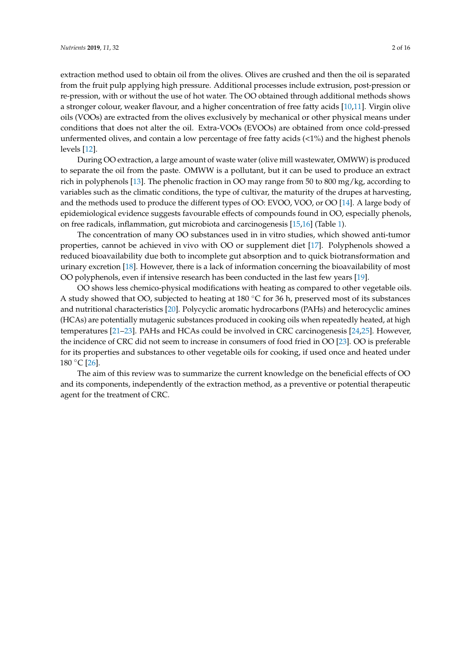extraction method used to obtain oil from the olives. Olives are crushed and then the oil is separated from the fruit pulp applying high pressure. Additional processes include extrusion, post-pression or re-pression, with or without the use of hot water. The OO obtained through additional methods shows a stronger colour, weaker flavour, and a higher concentration of free fatty acids [10,11]. Virgin olive oils (VOOs) are extracted from the olives exclusively by mechanical or other physical means under conditions that does not alter the oil. Extra-VOOs (EVOOs) are obtained from once cold-pressed unfermented olives, and contain a low percentage of free fatty acids (<1%) and the highest phenols levels [12].

During OO extraction, a large amount of waste water (olive mill wastewater, OMWW) is produced to separate the oil from the paste. OMWW is a pollutant, but it can be used to produce an extract rich in polyphenols [13]. The phenolic fraction in OO may range from 50 to 800 mg/kg, according to variables such as the climatic conditions, the type of cultivar, the maturity of the drupes at harvesting, and the methods used to produce the different types of OO: EVOO, VOO, or OO [14]. A large body of epidemiological evidence suggests favourable effects of compounds found in OO, especially phenols, on free radicals, inflammation, gut microbiota and carcinogenesis [15,16] (Table 1).

The concentration of many OO substances used in in vitro studies, which showed anti-tumor properties, cannot be achieved in vivo with OO or supplement diet [17]. Polyphenols showed a reduced bioavailability due both to incomplete gut absorption and to quick biotransformation and urinary excretion [18]. However, there is a lack of information concerning the bioavailability of most OO polyphenols, even if intensive research has been conducted in the last few years [19].

OO shows less chemico-physical modifications with heating as compared to other vegetable oils. A study showed that OO, subjected to heating at 180 ◦C for 36 h, preserved most of its substances and nutritional characteristics [20]. Polycyclic aromatic hydrocarbons (PAHs) and heterocyclic amines (HCAs) are potentially mutagenic substances produced in cooking oils when repeatedly heated, at high temperatures [21–23]. PAHs and HCAs could be involved in CRC carcinogenesis [24,25]. However, the incidence of CRC did not seem to increase in consumers of food fried in OO [23]. OO is preferable for its properties and substances to other vegetable oils for cooking, if used once and heated under  $180 °C$  [26].

The aim of this review was to summarize the current knowledge on the beneficial effects of OO and its components, independently of the extraction method, as a preventive or potential therapeutic agent for the treatment of CRC.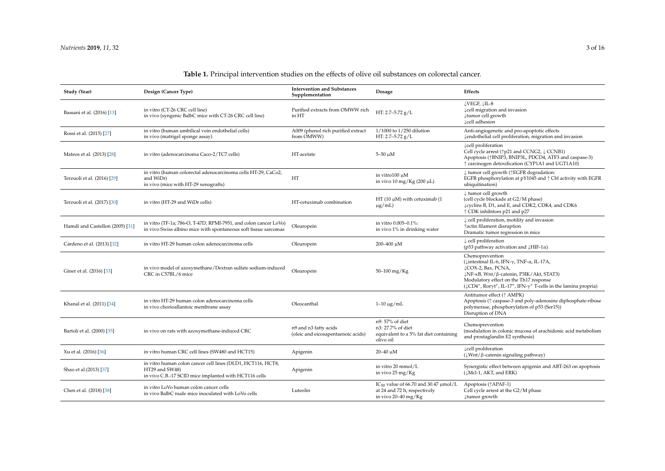| Study (Year)                    | Design (Cancer Type)                                                                                               | <b>Intervention and Substances</b><br>Supplementation | Dosage                                                | Effects                                                                                                                                                                             |
|---------------------------------|--------------------------------------------------------------------------------------------------------------------|-------------------------------------------------------|-------------------------------------------------------|-------------------------------------------------------------------------------------------------------------------------------------------------------------------------------------|
| Bassani et al. (2016) [13]      | in vitro (CT-26 CRC cell line)<br>in vivo (syngenic BalbC mice with CT-26 CRC cell line)                           | Purified extracts from OMWW rich<br>in HT             | HT: 2.7-5.72 $g/L$                                    | $\downarrow$ VEGF, $\downarrow$ IL-8<br>↓cell migration and invasion<br>↓tumor cell growth<br>Lcell adhesion                                                                        |
| Rossi et al. (2015) [27]        | in vitro (human umbilical vein endothelial cells)<br>in vivo (matrigel sponge assay)                               | A009 (phenol rich purified extract<br>from OMWW)      | 1/1000 to 1/250 dilution<br>HT: 2.7-5.72 $g/L$        | Anti-angiogenetic and pro-apoptotic effects<br>↓ endothelial cell proliferation, migration and invasion                                                                             |
| Mateos et al. (2013) [28]       | in vitro (adenocarcinoma Caco-2/TC7 cells)                                                                         | HT-acetate                                            | $5-50 \mu M$                                          | <b>Lell</b> proliferation<br>Cell cycle arrest (↑p21 and CCNG2, ↓ CCNB1)<br>Apoptosis (†BNIP3, BNIP3L, PDCD4, ATF3 and caspase-3)<br>carcinogen detoxification (CYP1A1 and UGT1A10) |
| Terzuoli et al. (2016) [29]     | in vitro (human colorectal adenocarcinoma cells HT-29, CaCo2,<br>and WiDr)<br>in vivo (mice with HT-29 xenografts) | HТ                                                    | in vitro100 µM<br>in vivo $10 \text{ mg/Kg}$ (200 µL) | tumor cell growth ( <sup>*</sup> EGFR degradation:<br>EGFR phosphorylation at $pY1045$ and $\uparrow$ Cbl activity with EGFR<br>ubiquitination)                                     |
| Terzuoli et al. (2017) [30]     | in vitro (HT-29 and WiDr cells)                                                                                    | HT-cetuximab combination                              | HT (10 $\mu$ M) with cetuximab (1<br>$\mu$ g/mL)      | ↓ tumor cell growth<br>(cell cycle blockade at G2/M phase)<br>↓ cyclins B, D1, and E, and CDK2, CDK4, and CDK6<br>↑ CDK inhibitors p21 and p27                                      |
| Hamdi and Castellon (2005) [31] | in vitro (TF-1a; 786-O, T-47D, RPMI-7951, and colon cancer LoVo)                                                   | Oleuropein                                            | in vitro 0.005-0.1%:                                  | $\downarrow$ cell proliferation, motility and invasion<br>tactin filament disruption                                                                                                |

# **Table 1.** Principal intervention studies on the effects of olive oil substances on colorectal cancer.

| 1erzuou et al. (2017) [30]      | $\pi$ vitro $(H1-Z9)$ and $WIDr$ cells)                                                                                                | H1-cetuximab combination                                    | $\mu$ g/mL)                                                                                                    | Levelins B, D1, and E, and CDK2, CDK4, and CDK6<br>↑ CDK inhibitors p21 and p27                                                                                                                                                                                                                                                                       |
|---------------------------------|----------------------------------------------------------------------------------------------------------------------------------------|-------------------------------------------------------------|----------------------------------------------------------------------------------------------------------------|-------------------------------------------------------------------------------------------------------------------------------------------------------------------------------------------------------------------------------------------------------------------------------------------------------------------------------------------------------|
| Hamdi and Castellon (2005) [31] | in vitro (TF-1a; 786-O, T-47D, RPMI-7951, and colon cancer LoVo)<br>in vivo Swiss albino mice with spontaneous soft tissue sarcomas    | Oleuropein                                                  | in vitro 0.005-0.1%:<br>in vivo 1% in drinking water                                                           | cell proliferation, motility and invasion<br>tactin filament disruption<br>Dramatic tumor regression in mice                                                                                                                                                                                                                                          |
| Cárdeno et al. (2013) [32]      | in vitro HT-29 human colon adenocarcinoma cells                                                                                        | Oleuropein                                                  | $200 - 400 \mu M$                                                                                              | $\downarrow$ cell proliferation<br>(p53 pathway activation and $\downarrow$ HIF-1 $\alpha$ )                                                                                                                                                                                                                                                          |
| Giner et al. (2016) [33]        | in vivo model of azoxymethane/Dextran sulfate sodium-induced<br>CRC in C57BL/6 mice                                                    | Oleuropein                                                  | $50 - 100$ mg/Kg                                                                                               | Chemoprevention<br>( $\downarrow$ intestinal IL-6, IFN- $\gamma$ , TNF- $\alpha$ , IL-17A,<br>LCOX-2, Bax, PCNA,<br>$\downarrow$ NF- $\kappa$ B, Wnt/ $\beta$ -catenin, P3IK/Akt, STAT3)<br>Modulatory effect on the Th17 response<br>$(LCD4^+$ , Roryt <sup>+</sup> , IL-17 <sup>+</sup> , IFN- $\gamma$ <sup>+</sup> T-cells in the lamina propria) |
| Khanal et al. (2011) [34]       | in vitro HT-29 human colon adenocarcinoma cells<br>in vivo chorioallantoic membrane assay                                              | Oleocanthal                                                 | $1-10 \mu g/mL$                                                                                                | Antitumor effect ( $\uparrow$ AMPK)<br>Apoptosis ( $\uparrow$ caspase-3 and poly-adenosine diphosphate-ribose<br>polymerase, phosphorylation of p53 (Ser15))<br>Disruption of DNA                                                                                                                                                                     |
| Bartolí et al. (2000) [35]      | in vivo on rats with azoxymethane-induced CRC                                                                                          | n9 and n3 fatty acids<br>(oleic and eicosapentaenoic acids) | n9: 57% of diet<br>n3: 27.7% of diet<br>equivalent to a 5% fat diet containing<br>olive oil                    | Chemoprevention<br>(modulation in colonic mucosa of arachidonic acid metabolism<br>and prostaglandin E2 synthesis)                                                                                                                                                                                                                                    |
| Xu et al. (2016) [36]           | in vitro human CRC cell lines (SW480 and HCT15)                                                                                        | Apigenin                                                    | $20 - 40 \mu M$                                                                                                | Leell proliferation<br>$(\downarrow Wnt/\beta$ -catenin signaling pathway)                                                                                                                                                                                                                                                                            |
| Shao et al.(2013) [37]          | in vitro human colon cancer cell lines (DLD1, HCT116, HCT8,<br>HT29 and SW48)<br>in vivo C.B.-17 SCID mice implanted with HCT116 cells | Apigenin                                                    | in vitro 20 mmol/L<br>in vivo 25 mg/Kg                                                                         | Synergistic effect between apigenin and ABT-263 on apoptosis<br>( $\downarrow$ Mcl-1, AKT, and ERK)                                                                                                                                                                                                                                                   |
| Chen et al. (2018) [38]         | in vitro LoVo human colon cancer cells<br>in vivo BalbC nude mice inoculated with LoVo cells                                           | Luteolin                                                    | IC <sub>50</sub> value of 66.70 and 30.47 $\mu$ mol/L<br>at 24 and 72 h, respectively<br>in vivo $20-40$ mg/Kg | Apoptosis (†APAF-1)<br>Cell cycle arrest at the G2/M phase<br>tumor growth                                                                                                                                                                                                                                                                            |
|                                 |                                                                                                                                        |                                                             |                                                                                                                |                                                                                                                                                                                                                                                                                                                                                       |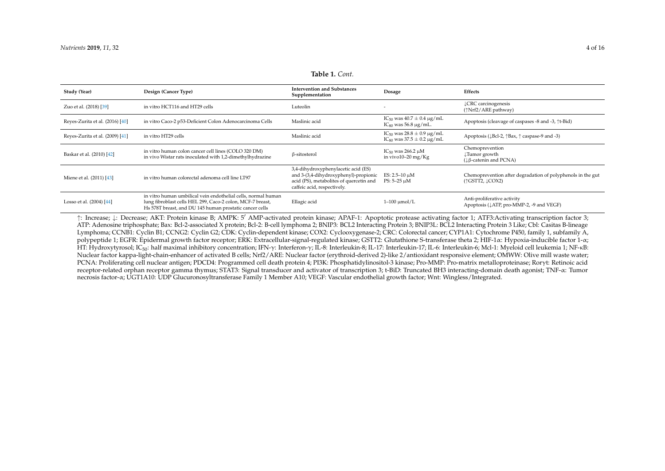| Study (Year)                    | Design (Cancer Type)                                                                                                                                                                   | <b>Intervention and Substances</b><br>Supplementation                                                                                                  | Dosage                                                                                           | <b>Effects</b>                                                                                       |
|---------------------------------|----------------------------------------------------------------------------------------------------------------------------------------------------------------------------------------|--------------------------------------------------------------------------------------------------------------------------------------------------------|--------------------------------------------------------------------------------------------------|------------------------------------------------------------------------------------------------------|
| Zuo et al. (2018) [39]          | in vitro HCT116 and HT29 cells                                                                                                                                                         | Luteolin                                                                                                                                               | $\overline{\phantom{a}}$                                                                         | <b>LCRC</b> carcinogenesis<br>( <sup>†</sup> Nrf2/ARE pathway)                                       |
| Reyes-Zurita et al. (2016) [40] | in vitro Caco-2 p53-Deficient Colon Adenocarcinoma Cells                                                                                                                               | Maslinic acid                                                                                                                                          | IC <sub>50</sub> was $40.7 \pm 0.4 \,\mu g/mL$<br>$IC_{80}$ was 56.8 $\mu$ g/mL.                 | Apoptosis (cleavage of caspases -8 and -3, $\uparrow$ t-Bid)                                         |
| Reyes-Zurita et al. (2009) [41] | in vitro HT29 cells                                                                                                                                                                    | Maslinic acid                                                                                                                                          | IC <sub>50</sub> was $28.8 \pm 0.9 \,\mu g/mL$<br>IC <sub>80</sub> was $37.5 \pm 0.2 \,\mu g/mL$ | Apoptosis ( $\downarrow$ Bcl-2, $\uparrow$ Bax, $\uparrow$ caspase-9 and -3)                         |
| Baskar et al. (2010) [42]       | in vitro human colon cancer cell lines (COLO 320 DM)<br>in vivo Wistar rats inoculated with 1,2-dimethylhydrazine                                                                      | $\beta$ -sitosterol                                                                                                                                    | IC <sub>50</sub> was 266.2 $\mu$ M<br>in vivo $10-20$ mg/Kg                                      | Chemoprevention<br>$\downarrow$ Tumor growth<br>$(\downarrow \beta$ -catenin and PCNA)               |
| Miene et al. (2011) [43]        | in vitro human colorectal adenoma cell line LT97                                                                                                                                       | 3,4-dihydroxyphenylacetic acid (ES)<br>and 3-(3,4-dihydroxyphenyl)-propionic<br>acid (PS), metabolites of quercetin and<br>caffeic acid, respectively. | ES: $2.5 - 10 \mu M$<br>$PS: 5-25 \mu M$                                                         | Chemoprevention after degradation of polyphenols in the gut<br>$(\uparrow$ GSTT2, $\downarrow$ COX2) |
| Losso et al. (2004) [44]        | in vitro human umbilical vein endothelial cells, normal human<br>lung fibroblast cells HEL 299, Caco-2 colon, MCF-7 breast,<br>Hs 578T breast, and DU 145 human prostatic cancer cells | Ellagic acid                                                                                                                                           | 1–100 μmol/L                                                                                     | Anti-proliferative activity<br>Apoptosis ( $\downarrow$ ATP, pro-MMP-2, -9 and VEGF)                 |

↑: Increase; ↓: Decrease; AKT: Protein kinase B; AMPK: 5′ AMP-activated protein kinase; APAF-1: Apoptotic protease activating factor 1; ATF3:Activating transcription factor 3; ATP: Adenosine triphosphate; Bax: Bcl-2-associated X protein; Bcl-2: B-cell lymphoma 2; BNIP3: BCL2 Interacting Protein 3; BNIP3L: BCL2 Interacting Protein 3 Like; Cbl: Casitas B-lineage Lymphoma; CCNB1: Cyclin B1; CCNG2: Cyclin G2; CDK: Cyclin-dependent kinase; COX2: Cyclooxygenase-2; CRC: Colorectal cancer; CYP1A1: Cytochrome P450, family 1, subfamily A, polypeptide 1; EGFR: Epidermal growth factor receptor; ERK: Extracellular-signal-regulated kinase; GSTT2: Glutathione S-transferase theta 2; HIF-1α: Hypoxia-inducible factor 1-α; HT: Hydroxytyrosol; IC50: half maximal inhibitory concentration; IFN-γ: Interferon-γ; IL-8: Interleukin-8; IL-17: Interleukin-17; IL-6: Interleukin-6; Mcl-1: Myeloid cell leukemia 1; NF-κB: Nuclear factor kappa-light-chain-enhancer of activated B cells; Nrf2/ARE: Nuclear factor (erythroid-derived 2)-like 2/antioxidant responsive element; OMWW: Olive mill waste water; PCNA: Proliferating cell nuclear antigen; PDCD4: Programmed cell death protein 4; PI3K: Phosphatidylinositol-3 kinase; Pro-MMP: Pro-matrix metalloproteinase; Rorγt: Retinoic acid receptor-related orphan receptor gamma thymus; STAT3: Signal transducer and activator of transcription 3; t-BiD: Truncated BH3 interacting-domain death agonist; TNF-α: Tumor necrosis factor-α; UGT1A10: UDP Glucuronosyltransferase Family 1 Member A10; VEGF: Vascular endothelial growth factor; Wnt: Wingless/Integrated.

#### **Table 1.** *Cont.*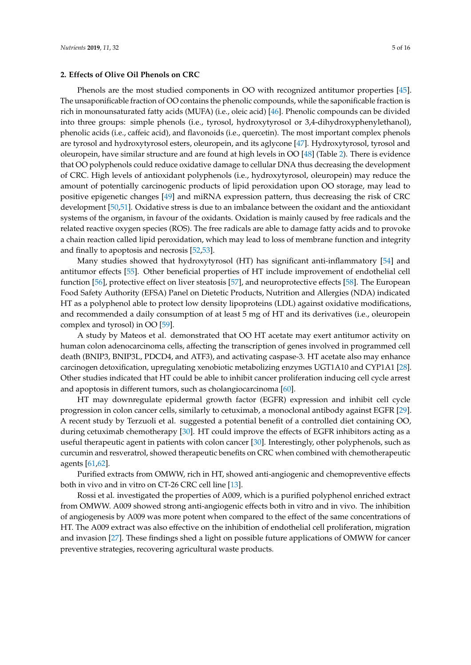#### **2. Effects of Olive Oil Phenols on CRC**

Phenols are the most studied components in OO with recognized antitumor properties [45]. The unsaponificable fraction of OO contains the phenolic compounds, while the saponificable fraction is rich in monounsaturated fatty acids (MUFA) (i.e., oleic acid) [46]. Phenolic compounds can be divided into three groups: simple phenols (i.e., tyrosol, hydroxytyrosol or 3,4-dihydroxyphenylethanol), phenolic acids (i.e., caffeic acid), and flavonoids (i.e., quercetin). The most important complex phenols are tyrosol and hydroxytyrosol esters, oleuropein, and its aglycone [47]. Hydroxytyrosol, tyrosol and oleuropein, have similar structure and are found at high levels in OO [48] (Table 2). There is evidence that OO polyphenols could reduce oxidative damage to cellular DNA thus decreasing the development of CRC. High levels of antioxidant polyphenols (i.e., hydroxytyrosol, oleuropein) may reduce the amount of potentially carcinogenic products of lipid peroxidation upon OO storage, may lead to positive epigenetic changes [49] and miRNA expression pattern, thus decreasing the risk of CRC development [50,51]. Oxidative stress is due to an imbalance between the oxidant and the antioxidant systems of the organism, in favour of the oxidants. Oxidation is mainly caused by free radicals and the related reactive oxygen species (ROS). The free radicals are able to damage fatty acids and to provoke a chain reaction called lipid peroxidation, which may lead to loss of membrane function and integrity and finally to apoptosis and necrosis [52,53].

Many studies showed that hydroxytyrosol (HT) has significant anti-inflammatory [54] and antitumor effects [55]. Other beneficial properties of HT include improvement of endothelial cell function [56], protective effect on liver steatosis [57], and neuroprotective effects [58]. The European Food Safety Authority (EFSA) Panel on Dietetic Products, Nutrition and Allergies (NDA) indicated HT as a polyphenol able to protect low density lipoproteins (LDL) against oxidative modifications, and recommended a daily consumption of at least 5 mg of HT and its derivatives (i.e., oleuropein complex and tyrosol) in OO [59].

A study by Mateos et al. demonstrated that OO HT acetate may exert antitumor activity on human colon adenocarcinoma cells, affecting the transcription of genes involved in programmed cell death (BNIP3, BNIP3L, PDCD4, and ATF3), and activating caspase-3. HT acetate also may enhance carcinogen detoxification, upregulating xenobiotic metabolizing enzymes UGT1A10 and CYP1A1 [28]. Other studies indicated that HT could be able to inhibit cancer proliferation inducing cell cycle arrest and apoptosis in different tumors, such as cholangiocarcinoma [60].

HT may downregulate epidermal growth factor (EGFR) expression and inhibit cell cycle progression in colon cancer cells, similarly to cetuximab, a monoclonal antibody against EGFR [29]. A recent study by Terzuoli et al. suggested a potential benefit of a controlled diet containing OO, during cetuximab chemotherapy [30]. HT could improve the effects of EGFR inhibitors acting as a useful therapeutic agent in patients with colon cancer [30]. Interestingly, other polyphenols, such as curcumin and resveratrol, showed therapeutic benefits on CRC when combined with chemotherapeutic agents [61,62].

Purified extracts from OMWW, rich in HT, showed anti-angiogenic and chemopreventive effects both in vivo and in vitro on CT-26 CRC cell line [13].

Rossi et al. investigated the properties of A009, which is a purified polyphenol enriched extract from OMWW. A009 showed strong anti-angiogenic effects both in vitro and in vivo. The inhibition of angiogenesis by A009 was more potent when compared to the effect of the same concentrations of HT. The A009 extract was also effective on the inhibition of endothelial cell proliferation, migration and invasion [27]. These findings shed a light on possible future applications of OMWW for cancer preventive strategies, recovering agricultural waste products.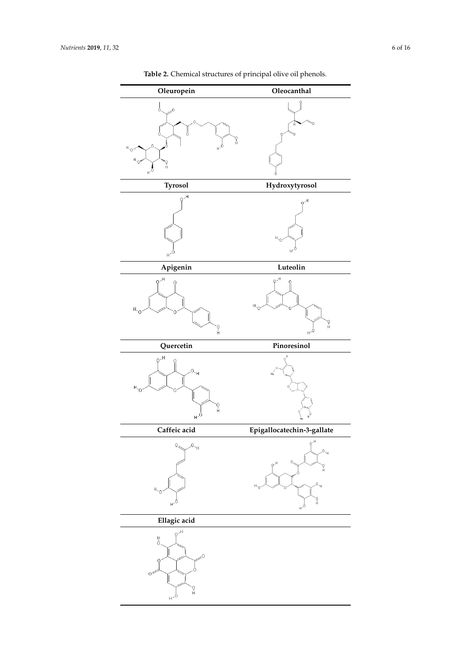

**Table 2.** Chemical structures of principal olive oil phenols.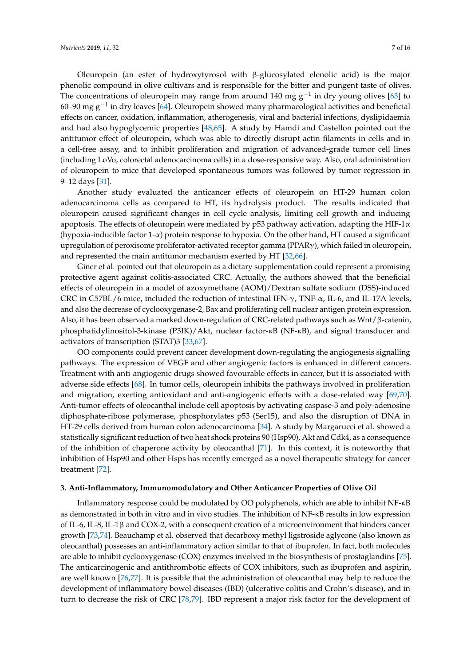Oleuropein (an ester of hydroxytyrosol with β-glucosylated elenolic acid) is the major phenolic compound in olive cultivars and is responsible for the bitter and pungent taste of olives. The concentrations of oleuropein may range from around 140 mg g<sup>-1</sup> in dry young olives [63] to 60–90 mg g<sup>-1</sup> in dry leaves [64]. Oleuropein showed many pharmacological activities and beneficial effects on cancer, oxidation, inflammation, atherogenesis, viral and bacterial infections, dyslipidaemia and had also hypoglycemic properties [48,65]. A study by Hamdi and Castellon pointed out the antitumor effect of oleuropein, which was able to directly disrupt actin filaments in cells and in

a cell-free assay, and to inhibit proliferation and migration of advanced-grade tumor cell lines (including LoVo, colorectal adenocarcinoma cells) in a dose-responsive way. Also, oral administration of oleuropein to mice that developed spontaneous tumors was followed by tumor regression in 9–12 days [31].

Another study evaluated the anticancer effects of oleuropein on HT-29 human colon adenocarcinoma cells as compared to HT, its hydrolysis product. The results indicated that oleuropein caused significant changes in cell cycle analysis, limiting cell growth and inducing apoptosis. The effects of oleuropein were mediated by p53 pathway activation, adapting the HIF-1 $\alpha$ (hypoxia-inducible factor 1-α) protein response to hypoxia. On the other hand, HT caused a significant upregulation of peroxisome proliferator-activated receptor gamma (PPARγ), which failed in oleuropein, and represented the main antitumor mechanism exerted by HT [32,66].

Giner et al. pointed out that oleuropein as a dietary supplementation could represent a promising protective agent against colitis-associated CRC. Actually, the authors showed that the beneficial effects of oleuropein in a model of azoxymethane (AOM)/Dextran sulfate sodium (DSS)-induced CRC in C57BL/6 mice, included the reduction of intestinal IFN- $\gamma$ , TNF- $\alpha$ , IL-6, and IL-17A levels, and also the decrease of cyclooxygenase-2, Bax and proliferating cell nuclear antigen protein expression. Also, it has been observed a marked down-regulation of CRC-related pathways such as Wnt/β-catenin, phosphatidylinositol-3-kinase (P3IK)/Akt, nuclear factor-κB (NF-κB), and signal transducer and activators of transcription (STAT)3 [33,67].

OO components could prevent cancer development down-regulating the angiogenesis signalling pathways. The expression of VEGF and other angiogenic factors is enhanced in different cancers. Treatment with anti-angiogenic drugs showed favourable effects in cancer, but it is associated with adverse side effects [68]. In tumor cells, oleuropein inhibits the pathways involved in proliferation and migration, exerting antioxidant and anti-angiogenic effects with a dose-related way [69,70]. Anti-tumor effects of oleocanthal include cell apoptosis by activating caspase-3 and poly-adenosine diphosphate-ribose polymerase, phosphorylates p53 (Ser15), and also the disruption of DNA in HT-29 cells derived from human colon adenocarcinoma [34]. A study by Margarucci et al. showed a statistically significant reduction of two heat shock proteins 90 (Hsp90), Akt and Cdk4, as a consequence of the inhibition of chaperone activity by oleocanthal [71]. In this context, it is noteworthy that inhibition of Hsp90 and other Hsps has recently emerged as a novel therapeutic strategy for cancer treatment [72].

#### **3. Anti-Inflammatory, Immunomodulatory and Other Anticancer Properties of Olive Oil**

Inflammatory response could be modulated by OO polyphenols, which are able to inhibit NF-κB as demonstrated in both in vitro and in vivo studies. The inhibition of NF-κB results in low expression of IL-6, IL-8, IL-1β and COX-2, with a consequent creation of a microenvironment that hinders cancer growth [73,74]. Beauchamp et al. observed that decarboxy methyl ligstroside aglycone (also known as oleocanthal) possesses an anti-inflammatory action similar to that of ibuprofen. In fact, both molecules are able to inhibit cyclooxygenase (COX) enzymes involved in the biosynthesis of prostaglandins [75]. The anticarcinogenic and antithrombotic effects of COX inhibitors, such as ibuprofen and aspirin, are well known [76,77]. It is possible that the administration of oleocanthal may help to reduce the development of inflammatory bowel diseases (IBD) (ulcerative colitis and Crohn's disease), and in turn to decrease the risk of CRC [78,79]. IBD represent a major risk factor for the development of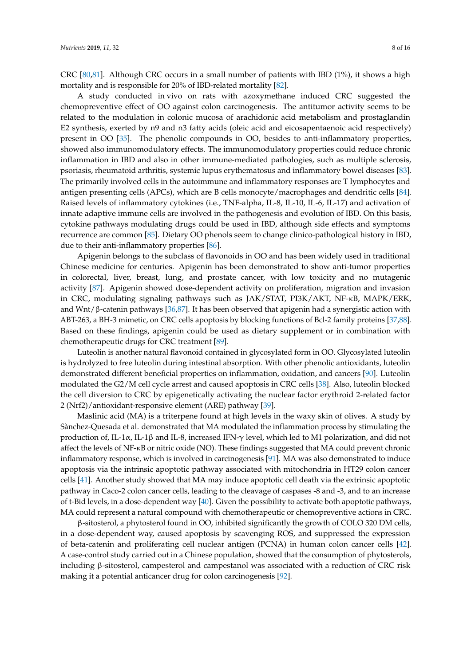CRC  $[80,81]$ . Although CRC occurs in a small number of patients with IBD  $(1\%)$ , it shows a high mortality and is responsible for 20% of IBD-related mortality [82].

A study conducted in vivo on rats with azoxymethane induced CRC suggested the chemopreventive effect of OO against colon carcinogenesis. The antitumor activity seems to be related to the modulation in colonic mucosa of arachidonic acid metabolism and prostaglandin E2 synthesis, exerted by n9 and n3 fatty acids (oleic acid and eicosapentaenoic acid respectively) present in OO [35]. The phenolic compounds in OO, besides to anti-inflammatory properties, showed also immunomodulatory effects. The immunomodulatory properties could reduce chronic inflammation in IBD and also in other immune-mediated pathologies, such as multiple sclerosis, psoriasis, rheumatoid arthritis, systemic lupus erythematosus and inflammatory bowel diseases [83]. The primarily involved cells in the autoimmune and inflammatory responses are T lymphocytes and antigen presenting cells (APCs), which are B cells monocyte/macrophages and dendritic cells [84]. Raised levels of inflammatory cytokines (i.e., TNF-alpha, IL-8, IL-10, IL-6, IL-17) and activation of innate adaptive immune cells are involved in the pathogenesis and evolution of IBD. On this basis, cytokine pathways modulating drugs could be used in IBD, although side effects and symptoms recurrence are common [85]. Dietary OO phenols seem to change clinico-pathological history in IBD, due to their anti-inflammatory properties [86].

Apigenin belongs to the subclass of flavonoids in OO and has been widely used in traditional Chinese medicine for centuries. Apigenin has been demonstrated to show anti-tumor properties in colorectal, liver, breast, lung, and prostate cancer, with low toxicity and no mutagenic activity [87]. Apigenin showed dose-dependent activity on proliferation, migration and invasion in CRC, modulating signaling pathways such as JAK/STAT, PI3K/AKT, NF-κB, MAPK/ERK, and Wnt/ $\beta$ -catenin pathways [36,87]. It has been observed that apigenin had a synergistic action with ABT-263, a BH-3 mimetic, on CRC cells apoptosis by blocking functions of Bcl-2 family proteins [37,88]. Based on these findings, apigenin could be used as dietary supplement or in combination with chemotherapeutic drugs for CRC treatment [89].

Luteolin is another natural flavonoid contained in glycosylated form in OO. Glycosylated luteolin is hydrolyzed to free luteolin during intestinal absorption. With other phenolic antioxidants, luteolin demonstrated different beneficial properties on inflammation, oxidation, and cancers [90]. Luteolin modulated the G2/M cell cycle arrest and caused apoptosis in CRC cells [38]. Also, luteolin blocked the cell diversion to CRC by epigenetically activating the nuclear factor erythroid 2-related factor 2 (Nrf2)/antioxidant-responsive element (ARE) pathway [39].

Maslinic acid (MA) is a triterpene found at high levels in the waxy skin of olives. A study by Sànchez-Quesada et al. demonstrated that MA modulated the inflammation process by stimulating the production of, IL-1α, IL-1β and IL-8, increased IFN-γ level, which led to M1 polarization, and did not affect the levels of NF-κB or nitric oxide (NO). These findings suggested that MA could prevent chronic inflammatory response, which is involved in carcinogenesis [91]. MA was also demonstrated to induce apoptosis via the intrinsic apoptotic pathway associated with mitochondria in HT29 colon cancer cells [41]. Another study showed that MA may induce apoptotic cell death via the extrinsic apoptotic pathway in Caco-2 colon cancer cells, leading to the cleavage of caspases -8 and -3, and to an increase of t-Bid levels, in a dose-dependent way [40]. Given the possibility to activate both apoptotic pathways, MA could represent a natural compound with chemotherapeutic or chemopreventive actions in CRC.

β-sitosterol, a phytosterol found in OO, inhibited significantly the growth of COLO 320 DM cells, in a dose-dependent way, caused apoptosis by scavenging ROS, and suppressed the expression of beta-catenin and proliferating cell nuclear antigen (PCNA) in human colon cancer cells [42]. A case-control study carried out in a Chinese population, showed that the consumption of phytosterols, including β-sitosterol, campesterol and campestanol was associated with a reduction of CRC risk making it a potential anticancer drug for colon carcinogenesis [92].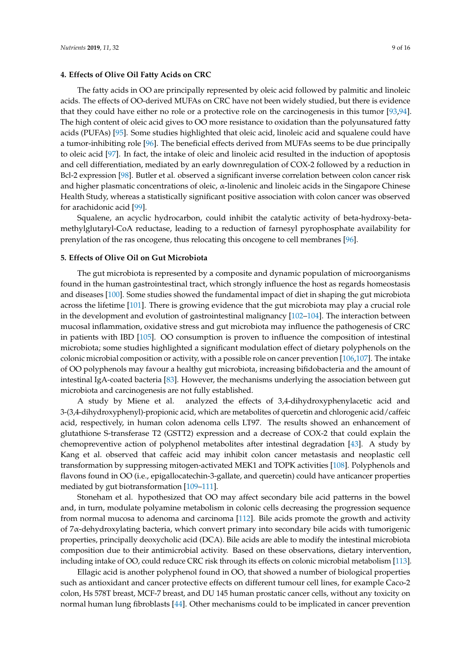The fatty acids in OO are principally represented by oleic acid followed by palmitic and linoleic acids. The effects of OO-derived MUFAs on CRC have not been widely studied, but there is evidence that they could have either no role or a protective role on the carcinogenesis in this tumor [93,94]. The high content of oleic acid gives to OO more resistance to oxidation than the polyunsatured fatty acids (PUFAs) [95]. Some studies highlighted that oleic acid, linoleic acid and squalene could have a tumor-inhibiting role [96]. The beneficial effects derived from MUFAs seems to be due principally to oleic acid [97]. In fact, the intake of oleic and linoleic acid resulted in the induction of apoptosis and cell differentiation, mediated by an early downregulation of COX-2 followed by a reduction in Bcl-2 expression [98]. Butler et al. observed a significant inverse correlation between colon cancer risk and higher plasmatic concentrations of oleic, α-linolenic and linoleic acids in the Singapore Chinese Health Study, whereas a statistically significant positive association with colon cancer was observed for arachidonic acid [99].

Squalene, an acyclic hydrocarbon, could inhibit the catalytic activity of beta-hydroxy-betamethylglutaryl-CoA reductase, leading to a reduction of farnesyl pyrophosphate availability for prenylation of the ras oncogene, thus relocating this oncogene to cell membranes [96].

#### **5. Effects of Olive Oil on Gut Microbiota**

The gut microbiota is represented by a composite and dynamic population of microorganisms found in the human gastrointestinal tract, which strongly influence the host as regards homeostasis and diseases [100]. Some studies showed the fundamental impact of diet in shaping the gut microbiota across the lifetime [101]. There is growing evidence that the gut microbiota may play a crucial role in the development and evolution of gastrointestinal malignancy [102–104]. The interaction between mucosal inflammation, oxidative stress and gut microbiota may influence the pathogenesis of CRC in patients with IBD [105]. OO consumption is proven to influence the composition of intestinal microbiota; some studies highlighted a significant modulation effect of dietary polyphenols on the colonic microbial composition or activity, with a possible role on cancer prevention [106,107]. The intake of OO polyphenols may favour a healthy gut microbiota, increasing bifidobacteria and the amount of intestinal IgA-coated bacteria [83]. However, the mechanisms underlying the association between gut microbiota and carcinogenesis are not fully established.

A study by Miene et al. analyzed the effects of 3,4-dihydroxyphenylacetic acid and 3-(3,4-dihydroxyphenyl)-propionic acid, which are metabolites of quercetin and chlorogenic acid/caffeic acid, respectively, in human colon adenoma cells LT97. The results showed an enhancement of glutathione S-transferase T2 (GSTT2) expression and a decrease of COX-2 that could explain the chemopreventive action of polyphenol metabolites after intestinal degradation [43]. A study by Kang et al. observed that caffeic acid may inhibit colon cancer metastasis and neoplastic cell transformation by suppressing mitogen-activated MEK1 and TOPK activities [108]. Polyphenols and flavons found in OO (i.e., epigallocatechin-3-gallate, and quercetin) could have anticancer properties mediated by gut biotransformation [109–111].

Stoneham et al. hypothesized that OO may affect secondary bile acid patterns in the bowel and, in turn, modulate polyamine metabolism in colonic cells decreasing the progression sequence from normal mucosa to adenoma and carcinoma [112]. Bile acids promote the growth and activity of 7α-dehydroxylating bacteria, which convert primary into secondary bile acids with tumorigenic properties, principally deoxycholic acid (DCA). Bile acids are able to modify the intestinal microbiota composition due to their antimicrobial activity. Based on these observations, dietary intervention, including intake of OO, could reduce CRC risk through its effects on colonic microbial metabolism [113].

Ellagic acid is another polyphenol found in OO, that showed a number of biological properties such as antioxidant and cancer protective effects on different tumour cell lines, for example Caco-2 colon, Hs 578T breast, MCF-7 breast, and DU 145 human prostatic cancer cells, without any toxicity on normal human lung fibroblasts [44]. Other mechanisms could to be implicated in cancer prevention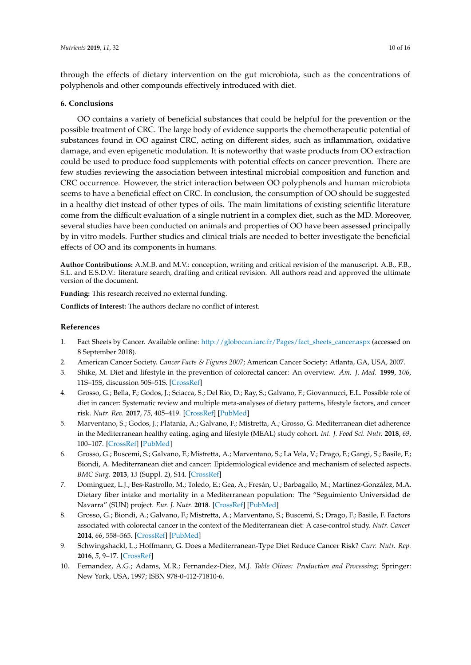through the effects of dietary intervention on the gut microbiota, such as the concentrations of polyphenols and other compounds effectively introduced with diet.

### **6. Conclusions**

OO contains a variety of beneficial substances that could be helpful for the prevention or the possible treatment of CRC. The large body of evidence supports the chemotherapeutic potential of substances found in OO against CRC, acting on different sides, such as inflammation, oxidative damage, and even epigenetic modulation. It is noteworthy that waste products from OO extraction could be used to produce food supplements with potential effects on cancer prevention. There are few studies reviewing the association between intestinal microbial composition and function and CRC occurrence. However, the strict interaction between OO polyphenols and human microbiota seems to have a beneficial effect on CRC. In conclusion, the consumption of OO should be suggested in a healthy diet instead of other types of oils. The main limitations of existing scientific literature come from the difficult evaluation of a single nutrient in a complex diet, such as the MD. Moreover, several studies have been conducted on animals and properties of OO have been assessed principally by in vitro models. Further studies and clinical trials are needed to better investigate the beneficial effects of OO and its components in humans.

**Author Contributions:** A.M.B. and M.V.: conception, writing and critical revision of the manuscript. A.B., F.B., S.L. and E.S.D.V.: literature search, drafting and critical revision. All authors read and approved the ultimate version of the document.

**Funding:** This research received no external funding.

**Conflicts of Interest:** The authors declare no conflict of interest.

## **References**

- 1. Fact Sheets by Cancer. Available online: http://globocan.iarc.fr/Pages/fact\_sheets\_cancer.aspx (accessed on 8 September 2018).
- 2. American Cancer Society. *Cancer Facts & Figures 2007*; American Cancer Society: Atlanta, GA, USA, 2007.
- 3. Shike, M. Diet and lifestyle in the prevention of colorectal cancer: An overview. *Am. J. Med.* **1999**, *106*, 11S–15S, discussion 50S–51S. [CrossRef]
- 4. Grosso, G.; Bella, F.; Godos, J.; Sciacca, S.; Del Rio, D.; Ray, S.; Galvano, F.; Giovannucci, E.L. Possible role of diet in cancer: Systematic review and multiple meta-analyses of dietary patterns, lifestyle factors, and cancer risk. *Nutr. Rev.* **2017**, *75*, 405–419. [CrossRef] [PubMed]
- 5. Marventano, S.; Godos, J.; Platania, A.; Galvano, F.; Mistretta, A.; Grosso, G. Mediterranean diet adherence in the Mediterranean healthy eating, aging and lifestyle (MEAL) study cohort. *Int. J. Food Sci. Nutr.* **2018**, *69*, 100–107. [CrossRef] [PubMed]
- 6. Grosso, G.; Buscemi, S.; Galvano, F.; Mistretta, A.; Marventano, S.; La Vela, V.; Drago, F.; Gangi, S.; Basile, F.; Biondi, A. Mediterranean diet and cancer: Epidemiological evidence and mechanism of selected aspects. *BMC Surg.* **2013**, *13* (Suppl. 2), S14. [CrossRef]
- 7. Dominguez, L.J.; Bes-Rastrollo, M.; Toledo, E.; Gea, A.; Fresán, U.; Barbagallo, M.; Martínez-González, M.A. Dietary fiber intake and mortality in a Mediterranean population: The "Seguimiento Universidad de Navarra" (SUN) project. *Eur. J. Nutr.* **2018**. [CrossRef] [PubMed]
- 8. Grosso, G.; Biondi, A.; Galvano, F.; Mistretta, A.; Marventano, S.; Buscemi, S.; Drago, F.; Basile, F. Factors associated with colorectal cancer in the context of the Mediterranean diet: A case-control study. *Nutr. Cancer* **2014**, *66*, 558–565. [CrossRef] [PubMed]
- 9. Schwingshackl, L.; Hoffmann, G. Does a Mediterranean-Type Diet Reduce Cancer Risk? *Curr. Nutr. Rep.* **2016**, *5*, 9–17. [CrossRef]
- 10. Fernandez, A.G.; Adams, M.R.; Fernandez-Diez, M.J. *Table Olives: Production and Processing*; Springer: New York, USA, 1997; ISBN 978-0-412-71810-6.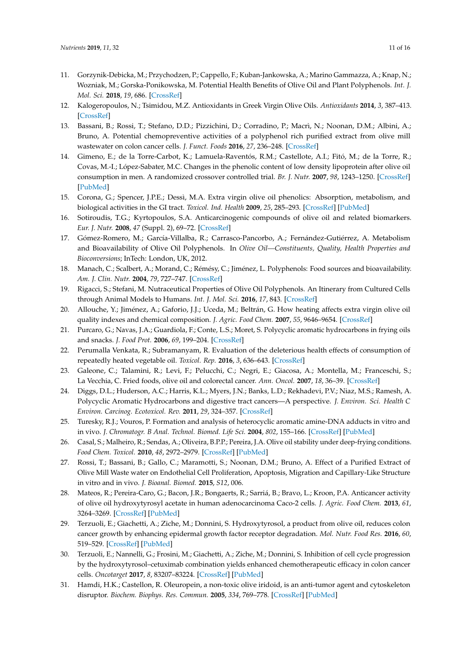- 11. Gorzynik-Debicka, M.; Przychodzen, P.; Cappello, F.; Kuban-Jankowska, A.; Marino Gammazza, A.; Knap, N.; Wozniak, M.; Gorska-Ponikowska, M. Potential Health Benefits of Olive Oil and Plant Polyphenols. *Int. J. Mol. Sci.* **2018**, *19*, 686. [CrossRef]
- 12. Kalogeropoulos, N.; Tsimidou, M.Z. Antioxidants in Greek Virgin Olive Oils. *Antioxidants* **2014**, *3*, 387–413. [CrossRef]
- 13. Bassani, B.; Rossi, T.; Stefano, D.D.; Pizzichini, D.; Corradino, P.; Macrì, N.; Noonan, D.M.; Albini, A.; Bruno, A. Potential chemopreventive activities of a polyphenol rich purified extract from olive mill wastewater on colon cancer cells. *J. Funct. Foods* **2016**, *27*, 236–248. [CrossRef]
- 14. Gimeno, E.; de la Torre-Carbot, K.; Lamuela-Raventós, R.M.; Castellote, A.I.; Fitó, M.; de la Torre, R.; Covas, M.-I.; López-Sabater, M.C. Changes in the phenolic content of low density lipoprotein after olive oil consumption in men. A randomized crossover controlled trial. *Br. J. Nutr.* **2007**, *98*, 1243–1250. [CrossRef] [PubMed]
- 15. Corona, G.; Spencer, J.P.E.; Dessì, M.A. Extra virgin olive oil phenolics: Absorption, metabolism, and biological activities in the GI tract. *Toxicol. Ind. Health* **2009**, *25*, 285–293. [CrossRef] [PubMed]
- 16. Sotiroudis, T.G.; Kyrtopoulos, S.A. Anticarcinogenic compounds of olive oil and related biomarkers. *Eur. J. Nutr.* **2008**, *47* (Suppl. 2), 69–72. [CrossRef]
- 17. Gómez-Romero, M.; García-Villalba, R.; Carrasco-Pancorbo, A.; Fernández-Gutiérrez, A. Metabolism and Bioavailability of Olive Oil Polyphenols. In *Olive Oil—Constituents, Quality, Health Properties and Bioconversions*; InTech: London, UK, 2012.
- 18. Manach, C.; Scalbert, A.; Morand, C.; Rémésy, C.; Jiménez, L. Polyphenols: Food sources and bioavailability. *Am. J. Clin. Nutr.* **2004**, *79*, 727–747. [CrossRef]
- 19. Rigacci, S.; Stefani, M. Nutraceutical Properties of Olive Oil Polyphenols. An Itinerary from Cultured Cells through Animal Models to Humans. *Int. J. Mol. Sci.* **2016**, *17*, 843. [CrossRef]
- 20. Allouche, Y.; Jiménez, A.; Gaforio, J.J.; Uceda, M.; Beltrán, G. How heating affects extra virgin olive oil quality indexes and chemical composition. *J. Agric. Food Chem.* **2007**, *55*, 9646–9654. [CrossRef]
- 21. Purcaro, G.; Navas, J.A.; Guardiola, F.; Conte, L.S.; Moret, S. Polycyclic aromatic hydrocarbons in frying oils and snacks. *J. Food Prot.* **2006**, *69*, 199–204. [CrossRef]
- 22. Perumalla Venkata, R.; Subramanyam, R. Evaluation of the deleterious health effects of consumption of repeatedly heated vegetable oil. *Toxicol. Rep.* **2016**, *3*, 636–643. [CrossRef]
- 23. Galeone, C.; Talamini, R.; Levi, F.; Pelucchi, C.; Negri, E.; Giacosa, A.; Montella, M.; Franceschi, S.; La Vecchia, C. Fried foods, olive oil and colorectal cancer. *Ann. Oncol.* **2007**, *18*, 36–39. [CrossRef]
- 24. Diggs, D.L.; Huderson, A.C.; Harris, K.L.; Myers, J.N.; Banks, L.D.; Rekhadevi, P.V.; Niaz, M.S.; Ramesh, A. Polycyclic Aromatic Hydrocarbons and digestive tract cancers—A perspective. *J. Environ. Sci. Health C Environ. Carcinog. Ecotoxicol. Rev.* **2011**, *29*, 324–357. [CrossRef]
- 25. Turesky, R.J.; Vouros, P. Formation and analysis of heterocyclic aromatic amine-DNA adducts in vitro and in vivo. *J. Chromatogr. B Anal. Technol. Biomed. Life Sci.* **2004**, *802*, 155–166. [CrossRef] [PubMed]
- 26. Casal, S.; Malheiro, R.; Sendas, A.; Oliveira, B.P.P.; Pereira, J.A. Olive oil stability under deep-frying conditions. *Food Chem. Toxicol.* **2010**, *48*, 2972–2979. [CrossRef] [PubMed]
- 27. Rossi, T.; Bassani, B.; Gallo, C.; Maramotti, S.; Noonan, D.M.; Bruno, A. Effect of a Purified Extract of Olive Mill Waste water on Endothelial Cell Proliferation, Apoptosis, Migration and Capillary-Like Structure in vitro and in vivo. *J. Bioanal. Biomed.* **2015**, *S12*, 006.
- 28. Mateos, R.; Pereira-Caro, G.; Bacon, J.R.; Bongaerts, R.; Sarriá, B.; Bravo, L.; Kroon, P.A. Anticancer activity of olive oil hydroxytyrosyl acetate in human adenocarcinoma Caco-2 cells. *J. Agric. Food Chem.* **2013**, *61*, 3264–3269. [CrossRef] [PubMed]
- 29. Terzuoli, E.; Giachetti, A.; Ziche, M.; Donnini, S. Hydroxytyrosol, a product from olive oil, reduces colon cancer growth by enhancing epidermal growth factor receptor degradation. *Mol. Nutr. Food Res.* **2016**, *60*, 519–529. [CrossRef] [PubMed]
- 30. Terzuoli, E.; Nannelli, G.; Frosini, M.; Giachetti, A.; Ziche, M.; Donnini, S. Inhibition of cell cycle progression by the hydroxytyrosol–cetuximab combination yields enhanced chemotherapeutic efficacy in colon cancer cells. *Oncotarget* **2017**, *8*, 83207–83224. [CrossRef] [PubMed]
- 31. Hamdi, H.K.; Castellon, R. Oleuropein, a non-toxic olive iridoid, is an anti-tumor agent and cytoskeleton disruptor. *Biochem. Biophys. Res. Commun.* **2005**, *334*, 769–778. [CrossRef] [PubMed]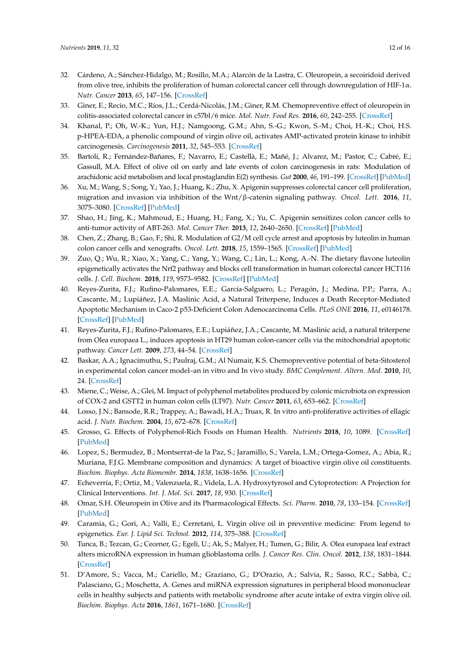- 32. Cárdeno, A.; Sánchez-Hidalgo, M.; Rosillo, M.A.; Alarcón de la Lastra, C. Oleuropein, a secoiridoid derived from olive tree, inhibits the proliferation of human colorectal cancer cell through downregulation of HIF-1 $\alpha$ . *Nutr. Cancer* **2013**, *65*, 147–156. [CrossRef]
- 33. Giner, E.; Recio, M.C.; Ríos, J.L.; Cerdá-Nicolás, J.M.; Giner, R.M. Chemopreventive effect of oleuropein in colitis-associated colorectal cancer in c57bl/6 mice. *Mol. Nutr. Food Res.* **2016**, *60*, 242–255. [CrossRef]
- 34. Khanal, P.; Oh, W.-K.; Yun, H.J.; Namgoong, G.M.; Ahn, S.-G.; Kwon, S.-M.; Choi, H.-K.; Choi, H.S. p-HPEA-EDA, a phenolic compound of virgin olive oil, activates AMP-activated protein kinase to inhibit carcinogenesis. *Carcinogenesis* **2011**, *32*, 545–553. [CrossRef]
- 35. Bartolí, R.; Fernández-Bañares, F.; Navarro, E.; Castellà, E.; Mañé, J.; Alvarez, M.; Pastor, C.; Cabré, E.; Gassull, M.A. Effect of olive oil on early and late events of colon carcinogenesis in rats: Modulation of arachidonic acid metabolism and local prostaglandin E(2) synthesis. *Gut* **2000**, *46*, 191–199. [CrossRef] [PubMed]
- 36. Xu, M.; Wang, S.; Song, Y.; Yao, J.; Huang, K.; Zhu, X. Apigenin suppresses colorectal cancer cell proliferation, migration and invasion via inhibition of the Wnt/β-catenin signaling pathway. *Oncol. Lett.* **2016**, *11*, 3075–3080. [CrossRef] [PubMed]
- 37. Shao, H.; Jing, K.; Mahmoud, E.; Huang, H.; Fang, X.; Yu, C. Apigenin sensitizes colon cancer cells to anti-tumor activity of ABT-263. *Mol. Cancer Ther.* **2013**, *12*, 2640–2650. [CrossRef] [PubMed]
- 38. Chen, Z.; Zhang, B.; Gao, F.; Shi, R. Modulation of G2/M cell cycle arrest and apoptosis by luteolin in human colon cancer cells and xenografts. *Oncol. Lett.* **2018**, *15*, 1559–1565. [CrossRef] [PubMed]
- 39. Zuo, Q.; Wu, R.; Xiao, X.; Yang, C.; Yang, Y.; Wang, C.; Lin, L.; Kong, A.-N. The dietary flavone luteolin epigenetically activates the Nrf2 pathway and blocks cell transformation in human colorectal cancer HCT116 cells. *J. Cell. Biochem.* **2018**, *119*, 9573–9582. [CrossRef] [PubMed]
- 40. Reyes-Zurita, F.J.; Rufino-Palomares, E.E.; García-Salguero, L.; Peragón, J.; Medina, P.P.; Parra, A.; Cascante, M.; Lupiáñez, J.A. Maslinic Acid, a Natural Triterpene, Induces a Death Receptor-Mediated Apoptotic Mechanism in Caco-2 p53-Deficient Colon Adenocarcinoma Cells. *PLoS ONE* **2016**, *11*, e0146178. [CrossRef] [PubMed]
- 41. Reyes-Zurita, F.J.; Rufino-Palomares, E.E.; Lupiáñez, J.A.; Cascante, M. Maslinic acid, a natural triterpene from Olea europaea L., induces apoptosis in HT29 human colon-cancer cells via the mitochondrial apoptotic pathway. *Cancer Lett.* **2009**, *273*, 44–54. [CrossRef]
- 42. Baskar, A.A.; Ignacimuthu, S.; Paulraj, G.M.; Al Numair, K.S. Chemopreventive potential of beta-Sitosterol in experimental colon cancer model–an in vitro and In vivo study. *BMC Complement. Altern. Med.* **2010**, *10*, 24. [CrossRef]
- 43. Miene, C.; Weise, A.; Glei, M. Impact of polyphenol metabolites produced by colonic microbiota on expression of COX-2 and GSTT2 in human colon cells (LT97). *Nutr. Cancer* **2011**, *63*, 653–662. [CrossRef]
- 44. Losso, J.N.; Bansode, R.R.; Trappey, A.; Bawadi, H.A.; Truax, R. In vitro anti-proliferative activities of ellagic acid. *J. Nutr. Biochem.* **2004**, *15*, 672–678. [CrossRef]
- 45. Grosso, G. Effects of Polyphenol-Rich Foods on Human Health. *Nutrients* **2018**, *10*, 1089. [CrossRef] [PubMed]
- 46. Lopez, S.; Bermudez, B.; Montserrat-de la Paz, S.; Jaramillo, S.; Varela, L.M.; Ortega-Gomez, A.; Abia, R.; Muriana, F.J.G. Membrane composition and dynamics: A target of bioactive virgin olive oil constituents. *Biochim. Biophys. Acta Biomembr.* **2014**, *1838*, 1638–1656. [CrossRef]
- 47. Echeverría, F.; Ortiz, M.; Valenzuela, R.; Videla, L.A. Hydroxytyrosol and Cytoprotection: A Projection for Clinical Interventions. *Int. J. Mol. Sci.* **2017**, *18*, 930. [CrossRef]
- 48. Omar, S.H. Oleuropein in Olive and its Pharmacological Effects. *Sci. Pharm.* **2010**, *78*, 133–154. [CrossRef] [PubMed]
- 49. Caramia, G.; Gori, A.; Valli, E.; Cerretani, L. Virgin olive oil in preventive medicine: From legend to epigenetics. *Eur. J. Lipid Sci. Technol.* **2012**, *114*, 375–388. [CrossRef]
- 50. Tunca, B.; Tezcan, G.; Cecener, G.; Egeli, U.; Ak, S.; Malyer, H.; Tumen, G.; Bilir, A. Olea europaea leaf extract alters microRNA expression in human glioblastoma cells. *J. Cancer Res. Clin. Oncol.* **2012**, *138*, 1831–1844. [CrossRef]
- 51. D'Amore, S.; Vacca, M.; Cariello, M.; Graziano, G.; D'Orazio, A.; Salvia, R.; Sasso, R.C.; Sabbà, C.; Palasciano, G.; Moschetta, A. Genes and miRNA expression signatures in peripheral blood mononuclear cells in healthy subjects and patients with metabolic syndrome after acute intake of extra virgin olive oil. *Biochim. Biophys. Acta* **2016**, *1861*, 1671–1680. [CrossRef]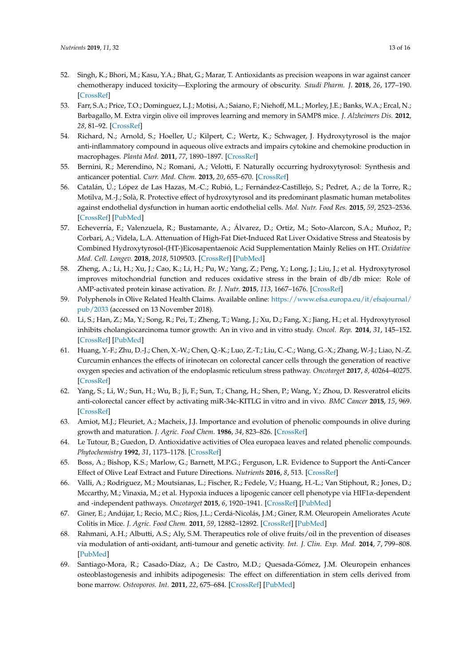- 52. Singh, K.; Bhori, M.; Kasu, Y.A.; Bhat, G.; Marar, T. Antioxidants as precision weapons in war against cancer chemotherapy induced toxicity—Exploring the armoury of obscurity. *Saudi Pharm. J.* **2018**, *26*, 177–190. [CrossRef]
- 53. Farr, S.A.; Price, T.O.; Dominguez, L.J.; Motisi, A.; Saiano, F.; Niehoff, M.L.; Morley, J.E.; Banks, W.A.; Ercal, N.; Barbagallo, M. Extra virgin olive oil improves learning and memory in SAMP8 mice. *J. Alzheimers Dis.* **2012**, *28*, 81–92. [CrossRef]
- 54. Richard, N.; Arnold, S.; Hoeller, U.; Kilpert, C.; Wertz, K.; Schwager, J. Hydroxytyrosol is the major anti-inflammatory compound in aqueous olive extracts and impairs cytokine and chemokine production in macrophages. *Planta Med.* **2011**, *77*, 1890–1897. [CrossRef]
- 55. Bernini, R.; Merendino, N.; Romani, A.; Velotti, F. Naturally occurring hydroxytyrosol: Synthesis and anticancer potential. *Curr. Med. Chem.* **2013**, *20*, 655–670. [CrossRef]
- 56. Catalán, Ú.; López de Las Hazas, M.-C.; Rubió, L.; Fernández-Castillejo, S.; Pedret, A.; de la Torre, R.; Motilva, M.-J.; Solà, R. Protective effect of hydroxytyrosol and its predominant plasmatic human metabolites against endothelial dysfunction in human aortic endothelial cells. *Mol. Nutr. Food Res.* **2015**, *59*, 2523–2536. [CrossRef] [PubMed]
- 57. Echeverría, F.; Valenzuela, R.; Bustamante, A.; Álvarez, D.; Ortiz, M.; Soto-Alarcon, S.A.; Muñoz, P.; Corbari, A.; Videla, L.A. Attenuation of High-Fat Diet-Induced Rat Liver Oxidative Stress and Steatosis by Combined Hydroxytyrosol-(HT-)Eicosapentaenoic Acid Supplementation Mainly Relies on HT. *Oxidative Med. Cell. Longev.* **2018**, *2018*, 5109503. [CrossRef] [PubMed]
- 58. Zheng, A.; Li, H.; Xu, J.; Cao, K.; Li, H.; Pu, W.; Yang, Z.; Peng, Y.; Long, J.; Liu, J.; et al. Hydroxytyrosol improves mitochondrial function and reduces oxidative stress in the brain of db/db mice: Role of AMP-activated protein kinase activation. *Br. J. Nutr.* **2015**, *113*, 1667–1676. [CrossRef]
- 59. Polyphenols in Olive Related Health Claims. Available online: https://www.efsa.europa.eu/it/efsajournal/ pub/2033 (accessed on 13 November 2018).
- 60. Li, S.; Han, Z.; Ma, Y.; Song, R.; Pei, T.; Zheng, T.; Wang, J.; Xu, D.; Fang, X.; Jiang, H.; et al. Hydroxytyrosol inhibits cholangiocarcinoma tumor growth: An in vivo and in vitro study. *Oncol. Rep.* **2014**, *31*, 145–152. [CrossRef] [PubMed]
- 61. Huang, Y.-F.; Zhu, D.-J.; Chen, X.-W.; Chen, Q.-K.; Luo, Z.-T.; Liu, C.-C.; Wang, G.-X.; Zhang, W.-J.; Liao, N.-Z. Curcumin enhances the effects of irinotecan on colorectal cancer cells through the generation of reactive oxygen species and activation of the endoplasmic reticulum stress pathway. *Oncotarget* **2017**, *8*, 40264–40275. [CrossRef]
- 62. Yang, S.; Li, W.; Sun, H.; Wu, B.; Ji, F.; Sun, T.; Chang, H.; Shen, P.; Wang, Y.; Zhou, D. Resveratrol elicits anti-colorectal cancer effect by activating miR-34c-KITLG in vitro and in vivo. *BMC Cancer* **2015**, *15*, 969. [CrossRef]
- 63. Amiot, M.J.; Fleuriet, A.; Macheix, J.J. Importance and evolution of phenolic compounds in olive during growth and maturation. *J. Agric. Food Chem.* **1986**, *34*, 823–826. [CrossRef]
- 64. Le Tutour, B.; Guedon, D. Antioxidative activities of Olea europaea leaves and related phenolic compounds. *Phytochemistry* **1992**, *31*, 1173–1178. [CrossRef]
- 65. Boss, A.; Bishop, K.S.; Marlow, G.; Barnett, M.P.G.; Ferguson, L.R. Evidence to Support the Anti-Cancer Effect of Olive Leaf Extract and Future Directions. *Nutrients* **2016**, *8*, 513. [CrossRef]
- 66. Valli, A.; Rodriguez, M.; Moutsianas, L.; Fischer, R.; Fedele, V.; Huang, H.-L.; Van Stiphout, R.; Jones, D.; Mccarthy, M.; Vinaxia, M.; et al. Hypoxia induces a lipogenic cancer cell phenotype via HIF1α-dependent and -independent pathways. *Oncotarget* **2015**, *6*, 1920–1941. [CrossRef] [PubMed]
- 67. Giner, E.; Andújar, I.; Recio, M.C.; Ríos, J.L.; Cerdá-Nicolás, J.M.; Giner, R.M. Oleuropein Ameliorates Acute Colitis in Mice. *J. Agric. Food Chem.* **2011**, *59*, 12882–12892. [CrossRef] [PubMed]
- 68. Rahmani, A.H.; Albutti, A.S.; Aly, S.M. Therapeutics role of olive fruits/oil in the prevention of diseases via modulation of anti-oxidant, anti-tumour and genetic activity. *Int. J. Clin. Exp. Med.* **2014**, *7*, 799–808. [PubMed]
- 69. Santiago-Mora, R.; Casado-Díaz, A.; De Castro, M.D.; Quesada-Gómez, J.M. Oleuropein enhances osteoblastogenesis and inhibits adipogenesis: The effect on differentiation in stem cells derived from bone marrow. *Osteoporos. Int.* **2011**, *22*, 675–684. [CrossRef] [PubMed]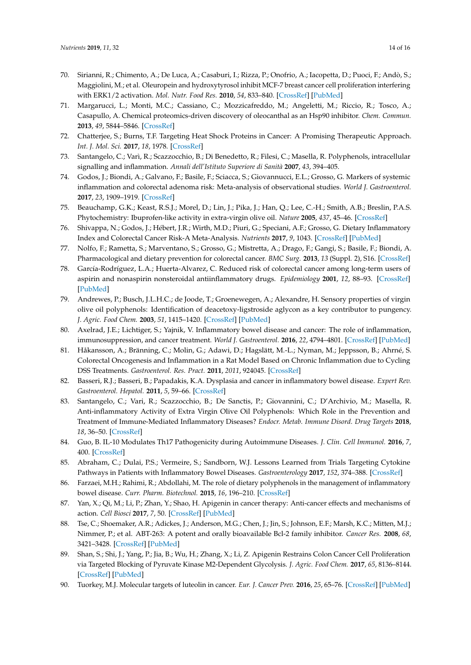- 70. Sirianni, R.; Chimento, A.; De Luca, A.; Casaburi, I.; Rizza, P.; Onofrio, A.; Iacopetta, D.; Puoci, F.; Andò, S.; Maggiolini, M.; et al. Oleuropein and hydroxytyrosol inhibit MCF-7 breast cancer cell proliferation interfering with ERK1/2 activation. *Mol. Nutr. Food Res.* **2010**, *54*, 833–840. [CrossRef] [PubMed]
- 71. Margarucci, L.; Monti, M.C.; Cassiano, C.; Mozzicafreddo, M.; Angeletti, M.; Riccio, R.; Tosco, A.; Casapullo, A. Chemical proteomics-driven discovery of oleocanthal as an Hsp90 inhibitor. *Chem. Commun.* **2013**, *49*, 5844–5846. [CrossRef]
- 72. Chatterjee, S.; Burns, T.F. Targeting Heat Shock Proteins in Cancer: A Promising Therapeutic Approach. *Int. J. Mol. Sci.* **2017**, *18*, 1978. [CrossRef]
- 73. Santangelo, C.; Varì, R.; Scazzocchio, B.; Di Benedetto, R.; Filesi, C.; Masella, R. Polyphenols, intracellular signalling and inflammation. *Annali dell'Istituto Superiore di Sanità* **2007**, *43*, 394–405.
- 74. Godos, J.; Biondi, A.; Galvano, F.; Basile, F.; Sciacca, S.; Giovannucci, E.L.; Grosso, G. Markers of systemic inflammation and colorectal adenoma risk: Meta-analysis of observational studies. *World J. Gastroenterol.* **2017**, *23*, 1909–1919. [CrossRef]
- 75. Beauchamp, G.K.; Keast, R.S.J.; Morel, D.; Lin, J.; Pika, J.; Han, Q.; Lee, C.-H.; Smith, A.B.; Breslin, P.A.S. Phytochemistry: Ibuprofen-like activity in extra-virgin olive oil. *Nature* **2005**, *437*, 45–46. [CrossRef]
- 76. Shivappa, N.; Godos, J.; Hébert, J.R.; Wirth, M.D.; Piuri, G.; Speciani, A.F.; Grosso, G. Dietary Inflammatory Index and Colorectal Cancer Risk-A Meta-Analysis. *Nutrients* **2017**, *9*, 1043. [CrossRef] [PubMed]
- 77. Nolfo, F.; Rametta, S.; Marventano, S.; Grosso, G.; Mistretta, A.; Drago, F.; Gangi, S.; Basile, F.; Biondi, A. Pharmacological and dietary prevention for colorectal cancer. *BMC Surg.* **2013**, *13* (Suppl. 2), S16. [CrossRef]
- 78. García-Rodríguez, L.A.; Huerta-Alvarez, C. Reduced risk of colorectal cancer among long-term users of aspirin and nonaspirin nonsteroidal antiinflammatory drugs. *Epidemiology* **2001**, *12*, 88–93. [CrossRef] [PubMed]
- 79. Andrewes, P.; Busch, J.L.H.C.; de Joode, T.; Groenewegen, A.; Alexandre, H. Sensory properties of virgin olive oil polyphenols: Identification of deacetoxy-ligstroside aglycon as a key contributor to pungency. *J. Agric. Food Chem.* **2003**, *51*, 1415–1420. [CrossRef] [PubMed]
- 80. Axelrad, J.E.; Lichtiger, S.; Yajnik, V. Inflammatory bowel disease and cancer: The role of inflammation, immunosuppression, and cancer treatment. *World J. Gastroenterol.* **2016**, *22*, 4794–4801. [CrossRef] [PubMed]
- 81. Håkansson, A.; Bränning, C.; Molin, G.; Adawi, D.; Hagslätt, M.-L.; Nyman, M.; Jeppsson, B.; Ahrné, S. Colorectal Oncogenesis and Inflammation in a Rat Model Based on Chronic Inflammation due to Cycling DSS Treatments. *Gastroenterol. Res. Pract.* **2011**, *2011*, 924045. [CrossRef]
- 82. Basseri, R.J.; Basseri, B.; Papadakis, K.A. Dysplasia and cancer in inflammatory bowel disease. *Expert Rev. Gastroenterol. Hepatol.* **2011**, *5*, 59–66. [CrossRef]
- 83. Santangelo, C.; Vari, R.; Scazzocchio, B.; De Sanctis, P.; Giovannini, C.; D'Archivio, M.; Masella, R. Anti-inflammatory Activity of Extra Virgin Olive Oil Polyphenols: Which Role in the Prevention and Treatment of Immune-Mediated Inflammatory Diseases? *Endocr. Metab. Immune Disord. Drug Targets* **2018**, *18*, 36–50. [CrossRef]
- 84. Guo, B. IL-10 Modulates Th17 Pathogenicity during Autoimmune Diseases. *J. Clin. Cell Immunol.* **2016**, *7*, 400. [CrossRef]
- 85. Abraham, C.; Dulai, P.S.; Vermeire, S.; Sandborn, W.J. Lessons Learned from Trials Targeting Cytokine Pathways in Patients with Inflammatory Bowel Diseases. *Gastroenterology* **2017**, *152*, 374–388. [CrossRef]
- 86. Farzaei, M.H.; Rahimi, R.; Abdollahi, M. The role of dietary polyphenols in the management of inflammatory bowel disease. *Curr. Pharm. Biotechnol.* **2015**, *16*, 196–210. [CrossRef]
- 87. Yan, X.; Qi, M.; Li, P.; Zhan, Y.; Shao, H. Apigenin in cancer therapy: Anti-cancer effects and mechanisms of action. *Cell Biosci* **2017**, *7*, 50. [CrossRef] [PubMed]
- 88. Tse, C.; Shoemaker, A.R.; Adickes, J.; Anderson, M.G.; Chen, J.; Jin, S.; Johnson, E.F.; Marsh, K.C.; Mitten, M.J.; Nimmer, P.; et al. ABT-263: A potent and orally bioavailable Bcl-2 family inhibitor. *Cancer Res.* **2008**, *68*, 3421–3428. [CrossRef] [PubMed]
- 89. Shan, S.; Shi, J.; Yang, P.; Jia, B.; Wu, H.; Zhang, X.; Li, Z. Apigenin Restrains Colon Cancer Cell Proliferation via Targeted Blocking of Pyruvate Kinase M2-Dependent Glycolysis. *J. Agric. Food Chem.* **2017**, *65*, 8136–8144. [CrossRef] [PubMed]
- 90. Tuorkey, M.J. Molecular targets of luteolin in cancer. *Eur. J. Cancer Prev.* **2016**, *25*, 65–76. [CrossRef] [PubMed]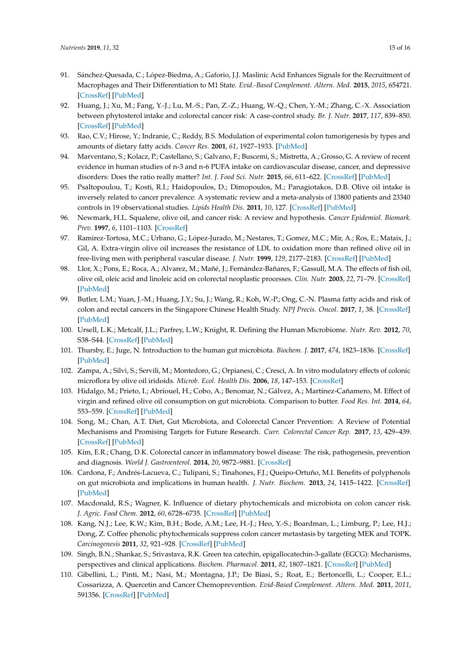- 91. Sánchez-Quesada, C.; López-Biedma, A.; Gaforio, J.J. Maslinic Acid Enhances Signals for the Recruitment of Macrophages and Their Differentiation to M1 State. *Evid.-Based Complement. Altern. Med.* **2015**, *2015*, 654721. [CrossRef] [PubMed]
- 92. Huang, J.; Xu, M.; Fang, Y.-J.; Lu, M.-S.; Pan, Z.-Z.; Huang, W.-Q.; Chen, Y.-M.; Zhang, C.-X. Association between phytosterol intake and colorectal cancer risk: A case-control study. *Br. J. Nutr.* **2017**, *117*, 839–850. [CrossRef] [PubMed]
- 93. Rao, C.V.; Hirose, Y.; Indranie, C.; Reddy, B.S. Modulation of experimental colon tumorigenesis by types and amounts of dietary fatty acids. *Cancer Res.* **2001**, *61*, 1927–1933. [PubMed]
- 94. Marventano, S.; Kolacz, P.; Castellano, S.; Galvano, F.; Buscemi, S.; Mistretta, A.; Grosso, G. A review of recent evidence in human studies of n-3 and n-6 PUFA intake on cardiovascular disease, cancer, and depressive disorders: Does the ratio really matter? *Int. J. Food Sci. Nutr.* **2015**, *66*, 611–622. [CrossRef] [PubMed]
- 95. Psaltopoulou, T.; Kosti, R.I.; Haidopoulos, D.; Dimopoulos, M.; Panagiotakos, D.B. Olive oil intake is inversely related to cancer prevalence: A systematic review and a meta-analysis of 13800 patients and 23340 controls in 19 observational studies. *Lipids Health Dis.* **2011**, *10*, 127. [CrossRef] [PubMed]
- 96. Newmark, H.L. Squalene, olive oil, and cancer risk: A review and hypothesis. *Cancer Epidemiol. Biomark. Prev.* **1997**, *6*, 1101–1103. [CrossRef]
- 97. Ramirez-Tortosa, M.C.; Urbano, G.; López-Jurado, M.; Nestares, T.; Gomez, M.C.; Mir, A.; Ros, E.; Mataix, J.; Gil, A. Extra-virgin olive oil increases the resistance of LDL to oxidation more than refined olive oil in free-living men with peripheral vascular disease. *J. Nutr.* **1999**, *129*, 2177–2183. [CrossRef] [PubMed]
- 98. Llor, X.; Pons, E.; Roca, A.; Alvarez, M.; Mañé, J.; Fernández-Bañares, F.; Gassull, M.A. The effects of fish oil, olive oil, oleic acid and linoleic acid on colorectal neoplastic processes. *Clin. Nutr.* **2003**, *22*, 71–79. [CrossRef] [PubMed]
- 99. Butler, L.M.; Yuan, J.-M.; Huang, J.Y.; Su, J.; Wang, R.; Koh, W.-P.; Ong, C.-N. Plasma fatty acids and risk of colon and rectal cancers in the Singapore Chinese Health Study. *NPJ Precis. Oncol.* **2017**, *1*, 38. [CrossRef] [PubMed]
- 100. Ursell, L.K.; Metcalf, J.L.; Parfrey, L.W.; Knight, R. Defining the Human Microbiome. *Nutr. Rev.* **2012**, *70*, S38–S44. [CrossRef] [PubMed]
- 101. Thursby, E.; Juge, N. Introduction to the human gut microbiota. *Biochem. J.* **2017**, *474*, 1823–1836. [CrossRef] [PubMed]
- 102. Zampa, A.; Silvi, S.; Servili, M.; Montedoro, G.; Orpianesi, C.; Cresci, A. In vitro modulatory effects of colonic microflora by olive oil iridoids. *Microb. Ecol. Health Dis.* **2006**, *18*, 147–153. [CrossRef]
- 103. Hidalgo, M.; Prieto, I.; Abriouel, H.; Cobo, A.; Benomar, N.; Gálvez, A.; Martínez-Cañamero, M. Effect of virgin and refined olive oil consumption on gut microbiota. Comparison to butter. *Food Res. Int.* **2014**, *64*, 553–559. [CrossRef] [PubMed]
- 104. Song, M.; Chan, A.T. Diet, Gut Microbiota, and Colorectal Cancer Prevention: A Review of Potential Mechanisms and Promising Targets for Future Research. *Curr. Colorectal Cancer Rep.* **2017**, *13*, 429–439. [CrossRef] [PubMed]
- 105. Kim, E.R.; Chang, D.K. Colorectal cancer in inflammatory bowel disease: The risk, pathogenesis, prevention and diagnosis. *World J. Gastroenterol.* **2014**, *20*, 9872–9881. [CrossRef]
- 106. Cardona, F.; Andrés-Lacueva, C.; Tulipani, S.; Tinahones, F.J.; Queipo-Ortuño, M.I. Benefits of polyphenols on gut microbiota and implications in human health. *J. Nutr. Biochem.* **2013**, *24*, 1415–1422. [CrossRef] [PubMed]
- 107. Macdonald, R.S.; Wagner, K. Influence of dietary phytochemicals and microbiota on colon cancer risk. *J. Agric. Food Chem.* **2012**, *60*, 6728–6735. [CrossRef] [PubMed]
- 108. Kang, N.J.; Lee, K.W.; Kim, B.H.; Bode, A.M.; Lee, H.-J.; Heo, Y.-S.; Boardman, L.; Limburg, P.; Lee, H.J.; Dong, Z. Coffee phenolic phytochemicals suppress colon cancer metastasis by targeting MEK and TOPK. *Carcinogenesis* **2011**, *32*, 921–928. [CrossRef] [PubMed]
- 109. Singh, B.N.; Shankar, S.; Srivastava, R.K. Green tea catechin, epigallocatechin-3-gallate (EGCG): Mechanisms, perspectives and clinical applications. *Biochem. Pharmacol.* **2011**, *82*, 1807–1821. [CrossRef] [PubMed]
- 110. Gibellini, L.; Pinti, M.; Nasi, M.; Montagna, J.P.; De Biasi, S.; Roat, E.; Bertoncelli, L.; Cooper, E.L.; Cossarizza, A. Quercetin and Cancer Chemoprevention. *Evid-Based Complement. Altern. Med.* **2011**, *2011*, 591356. [CrossRef] [PubMed]